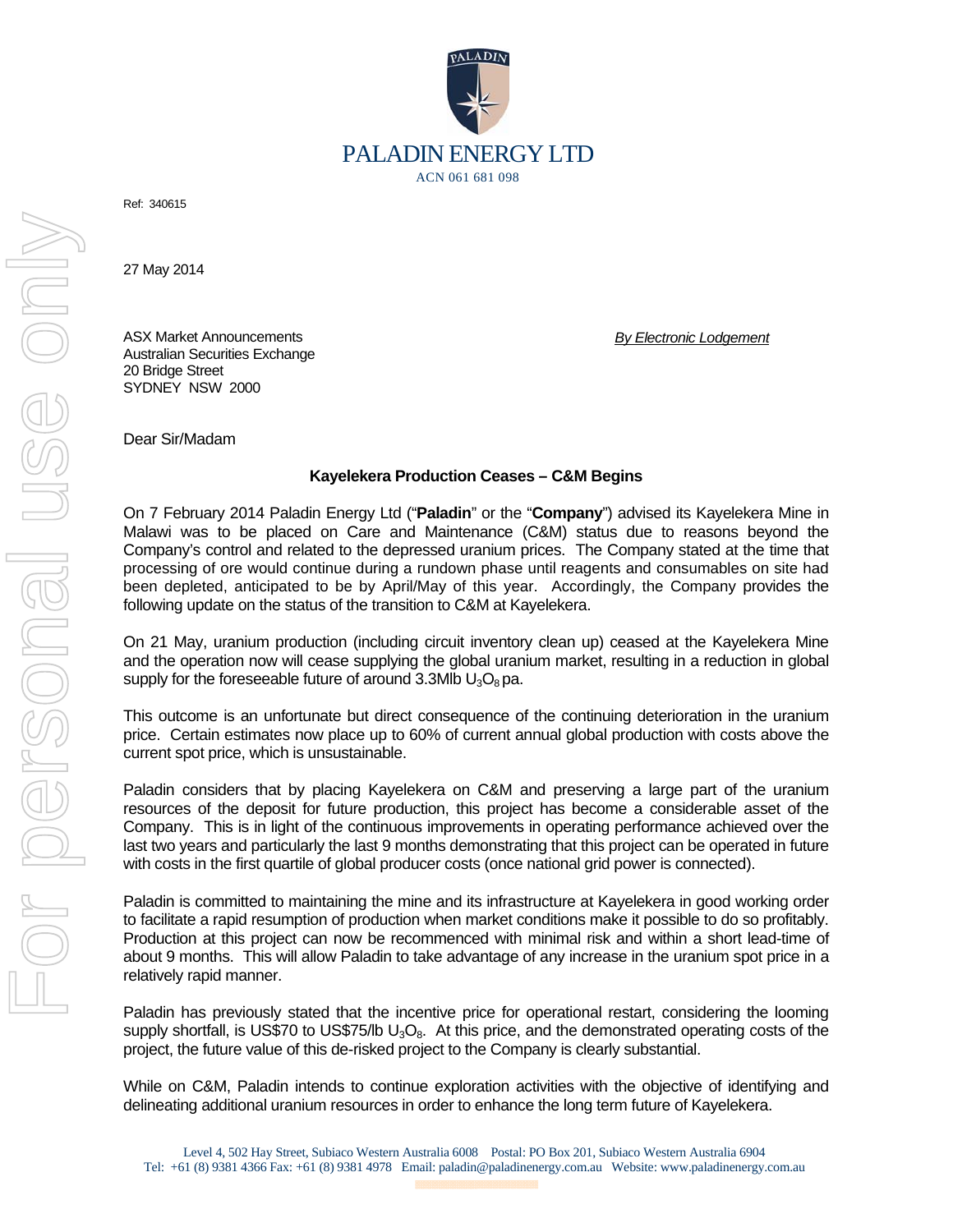

Ref: 340615

27 May 2014

ASX Market Announcements Australian Securities Exchange 20 Bridge Street SYDNEY NSW 2000

*By Electronic Lodgement* 

Dear Sir/Madam

## **Kayelekera Production Ceases – C&M Begins**

On 7 February 2014 Paladin Energy Ltd ("**Paladin**" or the "**Company**") advised its Kayelekera Mine in Malawi was to be placed on Care and Maintenance (C&M) status due to reasons beyond the Company's control and related to the depressed uranium prices. The Company stated at the time that processing of ore would continue during a rundown phase until reagents and consumables on site had been depleted, anticipated to be by April/May of this year. Accordingly, the Company provides the following update on the status of the transition to C&M at Kayelekera.

On 21 May, uranium production (including circuit inventory clean up) ceased at the Kayelekera Mine and the operation now will cease supplying the global uranium market, resulting in a reduction in global supply for the foreseeable future of around 3.3Mlb  $U_3O_8$  pa.

This outcome is an unfortunate but direct consequence of the continuing deterioration in the uranium price. Certain estimates now place up to 60% of current annual global production with costs above the current spot price, which is unsustainable.

Paladin considers that by placing Kayelekera on C&M and preserving a large part of the uranium resources of the deposit for future production, this project has become a considerable asset of the Company. This is in light of the continuous improvements in operating performance achieved over the last two years and particularly the last 9 months demonstrating that this project can be operated in future with costs in the first quartile of global producer costs (once national grid power is connected).

Paladin is committed to maintaining the mine and its infrastructure at Kayelekera in good working order to facilitate a rapid resumption of production when market conditions make it possible to do so profitably. Production at this project can now be recommenced with minimal risk and within a short lead-time of about 9 months. This will allow Paladin to take advantage of any increase in the uranium spot price in a relatively rapid manner.

Paladin has previously stated that the incentive price for operational restart, considering the looming supply shortfall, is US\$70 to US\$75/lb  $U_3O_8$ . At this price, and the demonstrated operating costs of the project, the future value of this de-risked project to the Company is clearly substantial.

While on C&M, Paladin intends to continue exploration activities with the objective of identifying and delineating additional uranium resources in order to enhance the long term future of Kayelekera.